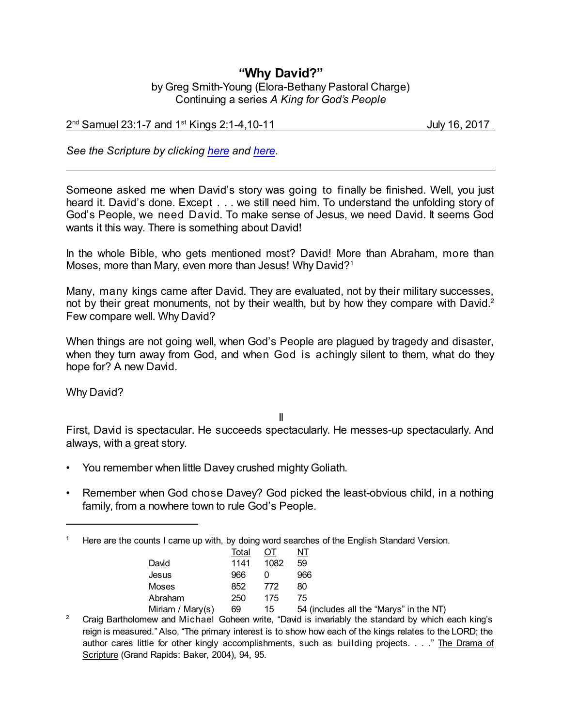## **"Why David?"**

by Greg Smith-Young (Elora-Bethany Pastoral Charge) Continuing a series *A King for God's People*

2 nd Samuel 23:1-7 and 1 st Kings 2:1-4,10-11 July 16, 2017

*See the Scripture by clicking [here](https://www.biblegateway.com/passage/?search=2+Samuel+23%3A1-7&version=CEB) and [here](https://www.biblegateway.com/passage/?search=1+Kings+2%3A1-4%2C10-11&version=CEB).*

Someone asked me when David's story was going to finally be finished. Well, you just heard it. David's done. Except . . . we still need him. To understand the unfolding story of God's People, we need David. To make sense of Jesus, we need David. It seems God wants it this way. There is something about David!

In the whole Bible, who gets mentioned most? David! More than Abraham, more than Moses, more than Mary, even more than Jesus! Why David?<sup>1</sup>

Many, many kings came after David. They are evaluated, not by their military successes, not by their great monuments, not by their wealth, but by how they compare with David.<sup>2</sup> Few compare well. Why David?

When things are not going well, when God's People are plagued by tragedy and disaster, when they turn away from God, and when God is achingly silent to them, what do they hope for? A new David.

Why David?

II

First, David is spectacular. He succeeds spectacularly. He messes-up spectacularly. And always, with a great story.

- You remember when little Davey crushed mighty Goliath.
- Remember when God chose Davey? God picked the least-obvious child, in a nothing family, from a nowhere town to rule God's People.

<sup>&</sup>lt;sup>1</sup> Here are the counts I came up with, by doing word searches of the English Standard Version.

|                  | Total |      |                                         |
|------------------|-------|------|-----------------------------------------|
| David            | 1141  | 1082 | 59                                      |
| Jesus            | 966   |      | 966                                     |
| Moses            | 852   | 772  | 80                                      |
| Abraham          | 250   | 175  | 75                                      |
| Miriam / Mary(s) | 69    | 15   | 54 (includes all the "Marys" in the NT) |

<sup>&</sup>lt;sup>2</sup> Craig Bartholomew and Michael Goheen write, "David is invariably the standard by which each king's reign is measured." Also, "The primary interest is to show how each of the kings relates to the LORD; the author cares little for other kingly accomplishments, such as building projects. . . ." The Drama of Scripture (Grand Rapids: Baker, 2004), 94, 95.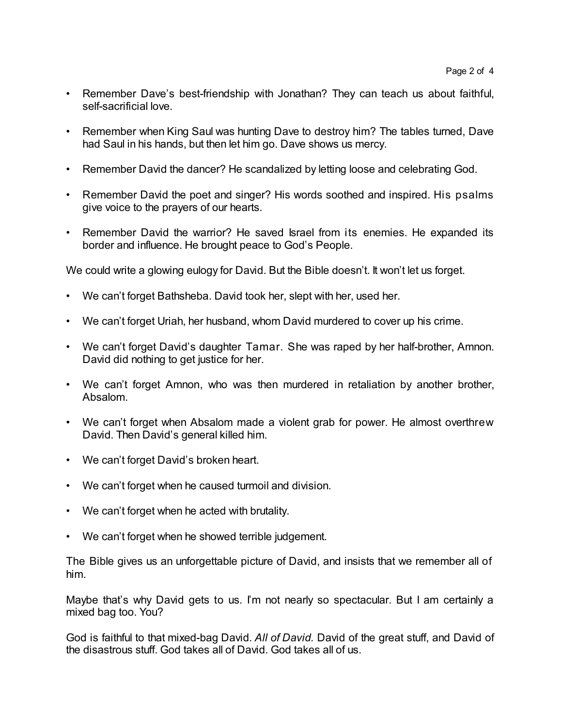- Remember Dave's best-friendship with Jonathan? They can teach us about faithful, self-sacrificial love.
- Remember when King Saul was hunting Dave to destroy him? The tables turned, Dave had Saul in his hands, but then let him go. Dave shows us mercy.
- Remember David the dancer? He scandalized by letting loose and celebrating God.
- Remember David the poet and singer? His words soothed and inspired. His psalms give voice to the prayers of our hearts.
- Remember David the warrior? He saved Israel from its enemies. He expanded its border and influence. He brought peace to God's People.

We could write a glowing eulogy for David. But the Bible doesn't. It won't let us forget.

- We can't forget Bathsheba. David took her, slept with her, used her.
- We can't forget Uriah, her husband, whom David murdered to cover up his crime.
- We can't forget David's daughter Tamar. She was raped by her half-brother, Amnon. David did nothing to get justice for her.
- We can't forget Amnon, who was then murdered in retaliation by another brother, Absalom.
- We can't forget when Absalom made a violent grab for power. He almost overthrew David. Then David's general killed him.
- We can't forget David's broken heart.
- We can't forget when he caused turmoil and division.
- We can't forget when he acted with brutality.
- We can't forget when he showed terrible judgement.

The Bible gives us an unforgettable picture of David, and insists that we remember all of him.

Maybe that's why David gets to us. I'm not nearly so spectacular. But I am certainly a mixed bag too. You?

God is faithful to that mixed-bag David. *All of David.* David of the great stuff, and David of the disastrous stuff. God takes all of David. God takes all of us.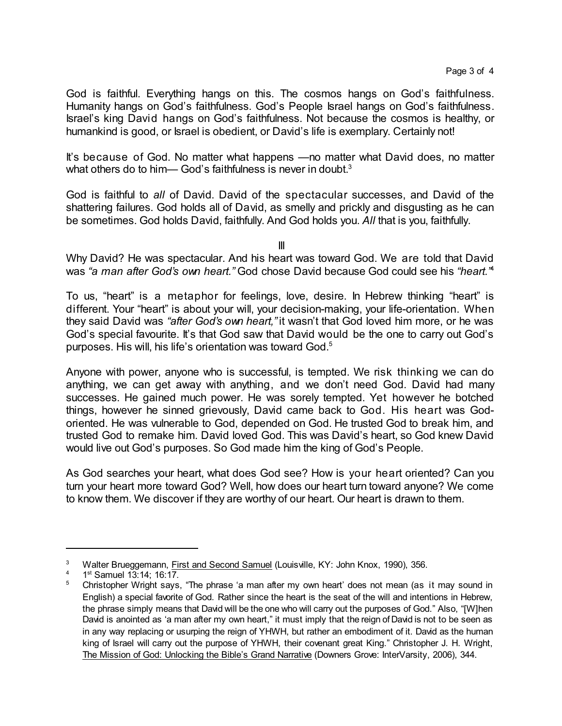God is faithful. Everything hangs on this. The cosmos hangs on God's faithfulness. Humanity hangs on God's faithfulness. God's People Israel hangs on God's faithfulness. Israel's king David hangs on God's faithfulness. Not because the cosmos is healthy, or humankind is good, or Israel is obedient, or David's life is exemplary. Certainly not!

It's because of God. No matter what happens —no matter what David does, no matter what others do to him— God's faithfulness is never in doubt. $^3$ 

God is faithful to *all* of David. David of the spectacular successes, and David of the shattering failures. God holds all of David, as smelly and prickly and disgusting as he can be sometimes. God holds David, faithfully. And God holds you. *All* that is you, faithfully.

III

Why David? He was spectacular. And his heart was toward God. We are told that David was *"a man after God's own heart."* God chose David because God could see his *"heart."* 4

To us, "heart" is a metaphor for feelings, love, desire. In Hebrew thinking "heart" is different. Your "heart" is about your will, your decision-making, your life-orientation. When they said David was *"after God's own heart,"* it wasn't that God loved him more, or he was God's special favourite. It's that God saw that David would be the one to carry out God's purposes. His will, his life's orientation was toward God.<sup>5</sup>

Anyone with power, anyone who is successful, is tempted. We risk thinking we can do anything, we can get away with anything, and we don't need God. David had many successes. He gained much power. He was sorely tempted. Yet however he botched things, however he sinned grievously, David came back to God. His heart was Godoriented. He was vulnerable to God, depended on God. He trusted God to break him, and trusted God to remake him. David loved God. This was David's heart, so God knew David would live out God's purposes. So God made him the king of God's People.

As God searches your heart, what does God see? How is your heart oriented? Can you turn your heart more toward God? Well, how does our heart turn toward anyone? We come to know them. We discover if they are worthy of our heart. Our heart is drawn to them.

<sup>&</sup>lt;sup>3</sup> Walter Brueggemann, First and Second Samuel (Louisville, KY: John Knox, 1990), 356.

<sup>&</sup>lt;sup>4</sup> 1<sup>st</sup> Samuel 13:14; 16:17.

<sup>&</sup>lt;sup>5</sup> Christopher Wright says, "The phrase 'a man after my own heart' does not mean (as it may sound in English) a special favorite of God. Rather since the heart is the seat of the will and intentions in Hebrew, the phrase simply means that David will be the one who will carry out the purposes of God." Also, "[W]hen David is anointed as 'a man after my own heart," it must imply that the reign of David is not to be seen as in any way replacing or usurping the reign of YHWH, but rather an embodiment of it. David as the human king of Israel will carry out the purpose of YHWH, their covenant great King." Christopher J. H. Wright, The Mission of God: Unlocking the Bible's Grand Narrative (Downers Grove: InterVarsity, 2006), 344.